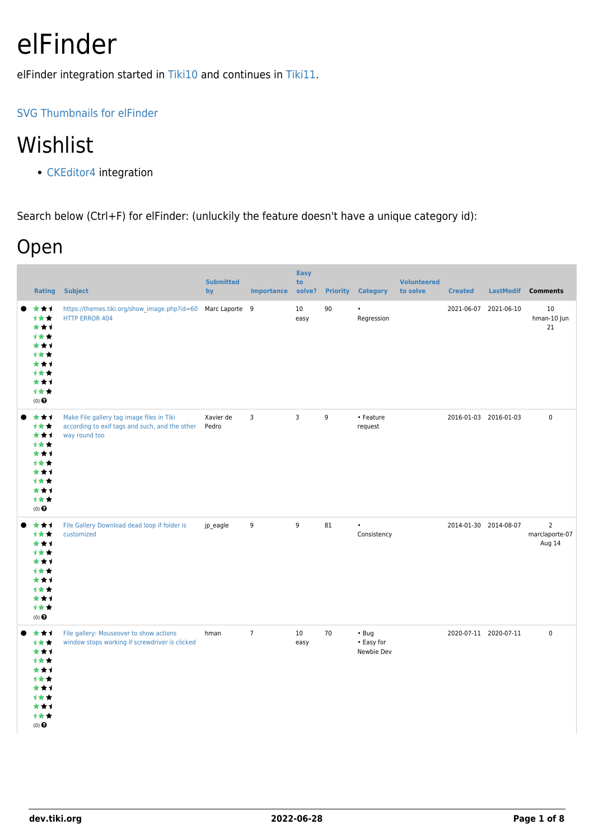# elFinder

elFinder integration started in [Tiki10](https://dev.tiki.org/Tiki10) and continues in [Tiki11.](https://dev.tiki.org/Tiki11)

#### [SVG Thumbnails for elFinder](https://github.com/Studio-42/elFinder/issues/882)

### Wishlist

• [CKEditor4](https://dev.tiki.org/CKEditor4) integration

Search below (Ctrl+F) for elFinder: (unluckily the feature doesn't have a unique category id):

#### Open

| <b>Rating</b>                                                                              | <b>Subject</b>                                                                                               | <b>Submitted</b><br>by | <b>Importance</b> | <b>Easy</b><br>to<br>solve? |    | <b>Priority Category</b>                | <b>Volunteered</b><br>to solve | <b>Created</b>        |                       | LastModif Comments                         |
|--------------------------------------------------------------------------------------------|--------------------------------------------------------------------------------------------------------------|------------------------|-------------------|-----------------------------|----|-----------------------------------------|--------------------------------|-----------------------|-----------------------|--------------------------------------------|
| ***<br>***<br>***<br>计女女<br>***<br>计女女<br>***<br>1★★<br>***<br>计女女<br>$(0)$ $\odot$        | https://themes.tiki.org/show_image.php?id=60<br><b>HTTP ERROR 404</b>                                        | Marc Laporte 9         |                   | 10<br>easy                  | 90 | $\bullet$<br>Regression                 |                                | 2021-06-07            | 2021-06-10            | 10<br>hman-10 Jun<br>21                    |
| ***<br>计女女<br>***<br>计女女<br>***<br>计女女<br>***<br>1**<br>***<br>计女女<br>$(0)$ $\odot$        | Make File gallery tag image files in Tiki<br>according to exif tags and such, and the other<br>way round too | Xavier de<br>Pedro     | 3                 | 3                           | 9  | • Feature<br>request                    |                                | 2016-01-03 2016-01-03 |                       | 0                                          |
| ***<br>计女女<br>***<br>计女女<br>***<br>计女女<br>***<br>计女女<br>***<br>1女女<br>$(0)$ $\odot$        | File Gallery Download dead loop if folder is<br>customized                                                   | jp_eagle               | 9                 | 9                           | 81 | $\bullet$<br>Consistency                |                                |                       | 2014-01-30 2014-08-07 | $\overline{2}$<br>marclaporte-07<br>Aug 14 |
| ***<br>1★★<br>***<br>计女女<br>***<br><b>1**</b><br>***<br>计女女<br>***<br>计女女<br>$(0)$ $\odot$ | File gallery: Mouseover to show actions<br>window stops working if screwdriver is clicked                    | hman                   | $\overline{7}$    | 10<br>easy                  | 70 | $\cdot$ Bug<br>• Easy for<br>Newbie Dev |                                | 2020-07-11 2020-07-11 |                       | $\pmb{0}$                                  |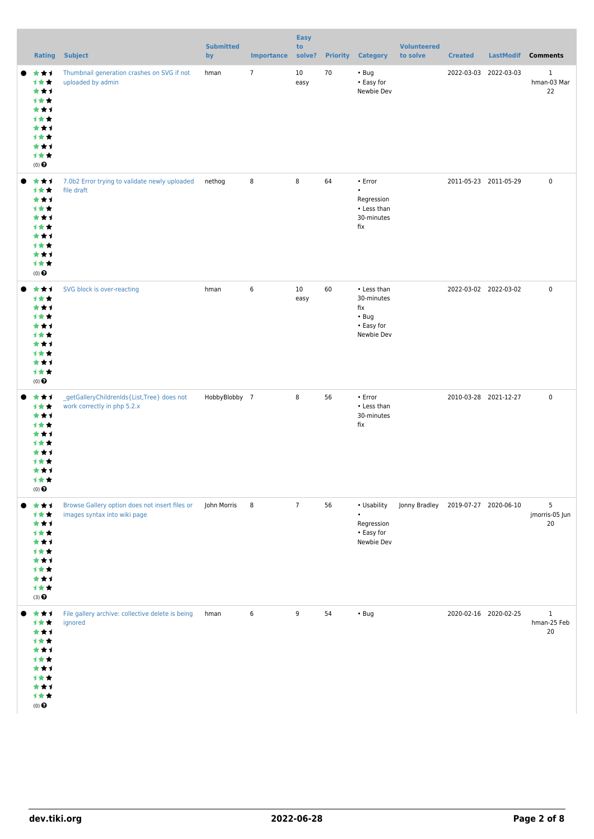| <b>Rating</b>                                                                                    | <b>Subject</b>                                                                 | <b>Submitted</b><br>by | <b>Importance</b> | <b>Easy</b><br>to<br>solve? | <b>Priority</b> | <b>Category</b>                                                              | <b>Volunteered</b><br>to solve      | <b>Created</b>        | LastModif Comments |                                   |
|--------------------------------------------------------------------------------------------------|--------------------------------------------------------------------------------|------------------------|-------------------|-----------------------------|-----------------|------------------------------------------------------------------------------|-------------------------------------|-----------------------|--------------------|-----------------------------------|
| ***<br>计女女<br>***<br>计女女<br>***<br>计女女<br>***<br>计女女<br>***<br>计女女<br>$(0)$ $\odot$              | Thumbnail generation crashes on SVG if not<br>uploaded by admin                | hman                   | $\overline{7}$    | 10<br>easy                  | 70              | $\cdot$ Bug<br>• Easy for<br>Newbie Dev                                      |                                     | 2022-03-03 2022-03-03 |                    | $\mathbf{1}$<br>hman-03 Mar<br>22 |
| ***<br>计女女<br>***<br>计女女<br>***<br>计女女<br>***<br>计女女<br>***<br>计女女<br>$(0)$ $\odot$              | 7.0b2 Error trying to validate newly uploaded<br>file draft                    | nethog                 | 8                 | 8                           | 64              | $\cdot$ Error<br>$\bullet$<br>Regression<br>• Less than<br>30-minutes<br>fix |                                     | 2011-05-23 2011-05-29 |                    | $\pmb{0}$                         |
| ***<br>计女女<br>***<br>计女女<br>***<br>计女女<br>***<br>计女女<br>***<br>计女女<br>$(0)$ $\odot$              | SVG block is over-reacting                                                     | hman                   | 6                 | $10\,$<br>easy              | 60              | • Less than<br>30-minutes<br>fix<br>$\cdot$ Bug<br>• Easy for<br>Newbie Dev  |                                     | 2022-03-02 2022-03-02 |                    | $\pmb{0}$                         |
| ***<br>计女女<br>***<br>计女女<br>***<br>计女女<br>***<br>1 <del>*</del> *<br>***<br>计女女<br>$(0)$ $\odot$ | _getGalleryChildrenIds{List,Tree} does not<br>work correctly in php 5.2.x      | HobbyBlobby 7          |                   | 8                           | 56              | $\cdot$ Error<br>• Less than<br>30-minutes<br>fix                            |                                     | 2010-03-28 2021-12-27 |                    | $\pmb{0}$                         |
| ***<br>计女女<br>***<br>计女女<br>***<br>计女女<br>***<br>计女女<br>***<br>计女女<br>$(3)$ $\odot$              | Browse Gallery option does not insert files or<br>images syntax into wiki page | John Morris            | 8                 | $\overline{7}$              | 56              | • Usability<br>Regression<br>• Easy for<br>Newbie Dev                        | Jonny Bradley 2019-07-27 2020-06-10 |                       |                    | 5<br>jmorris-05 Jun<br>20         |
| ***<br>计女女<br>***<br>计女女<br>***<br>计女女<br>***<br>计女女<br>***<br>计女女<br>$(0)$ $\odot$              | File gallery archive: collective delete is being<br>ignored                    | hman                   | 6                 | 9                           | 54              | $\cdot$ Bug                                                                  |                                     | 2020-02-16 2020-02-25 |                    | $\mathbf{1}$<br>hman-25 Feb<br>20 |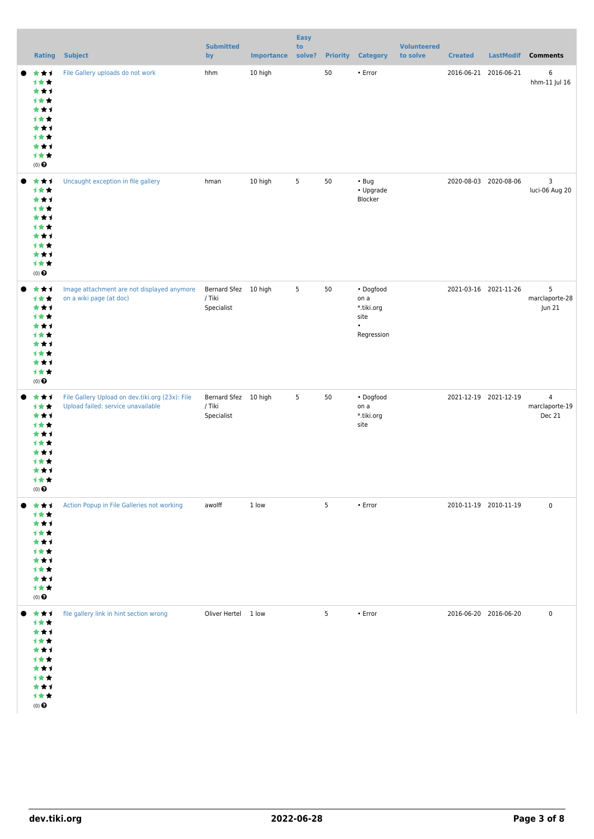|                                                                                                   |                                                                                       | <b>Submitted</b>                             |                   | Easy<br>to |                 |                                                       | <b>Volunteered</b> |                       |                    |                                            |
|---------------------------------------------------------------------------------------------------|---------------------------------------------------------------------------------------|----------------------------------------------|-------------------|------------|-----------------|-------------------------------------------------------|--------------------|-----------------------|--------------------|--------------------------------------------|
| Rating                                                                                            | <b>Subject</b>                                                                        | by                                           | <b>Importance</b> | solve?     | <b>Priority</b> | <b>Category</b>                                       | to solve           | <b>Created</b>        | LastModif Comments |                                            |
| ***<br><b>1**</b><br>***<br>1★★<br>***<br>计女女<br>***<br>计女女<br>***<br>计女女<br>$(0)$ $\pmb{\Theta}$ | File Gallery uploads do not work                                                      | hhm                                          | 10 high           |            | 50              | • Error                                               |                    | 2016-06-21 2016-06-21 |                    | $\,6\,$<br>hhm-11 Jul 16                   |
| ***<br>计女女<br>***<br>计女女<br>***<br>计女女<br>***<br>计女女<br>***<br>计女女<br>$(0)$ $\pmb{\Theta}$        | Uncaught exception in file gallery                                                    | hman                                         | 10 high           | 5          | 50              | $\cdot$ Bug<br>• Upgrade<br>Blocker                   |                    | 2020-08-03 2020-08-06 |                    | $\mathbf{3}$<br>luci-06 Aug 20             |
| ***<br>计女女<br>***<br>计女女<br>***<br>计女女<br>***<br>1女女<br>***<br>计女女<br>$(0)$ $\odot$               | Image attachment are not displayed anymore<br>on a wiki page (at doc)                 | Bernard Sfez 10 high<br>/ Tiki<br>Specialist |                   | 5          | 50              | • Dogfood<br>on a<br>* tiki.org<br>site<br>Regression |                    | 2021-03-16 2021-11-26 |                    | 5<br>marclaporte-28<br>Jun 21              |
| ***<br>计女女<br>***<br>计女女<br>***<br>计女女<br>***<br>1 * *<br>***<br>计女女<br>$(0)$ $\odot$             | File Gallery Upload on dev.tiki.org (23x): File<br>Upload failed: service unavailable | Bernard Sfez 10 high<br>/ Tiki<br>Specialist |                   | 5          | 50              | • Dogfood<br>on a<br>*.tiki.org<br>site               |                    | 2021-12-19 2021-12-19 |                    | $\overline{4}$<br>marclaporte-19<br>Dec 21 |
| ***<br>1★★<br>***<br>计女女<br>***<br>计女女<br>***<br>计女女<br>***<br>计女女<br>$(0)$<br>$\pmb{\Theta}$     | Action Popup in File Galleries not working                                            | awolff                                       | 1 low             |            | 5               | $\cdot$ Error                                         |                    | 2010-11-19 2010-11-19 |                    | $\pmb{0}$                                  |
| ***<br>计女女<br>***<br>***<br>***<br>计女女<br>***<br>1女女<br>***<br>1女女<br>$(0)$ $\odot$               | file gallery link in hint section wrong                                               | Oliver Hertel 1 low                          |                   |            | 5               | $\cdot$ Error                                         |                    | 2016-06-20 2016-06-20 |                    | $\pmb{0}$                                  |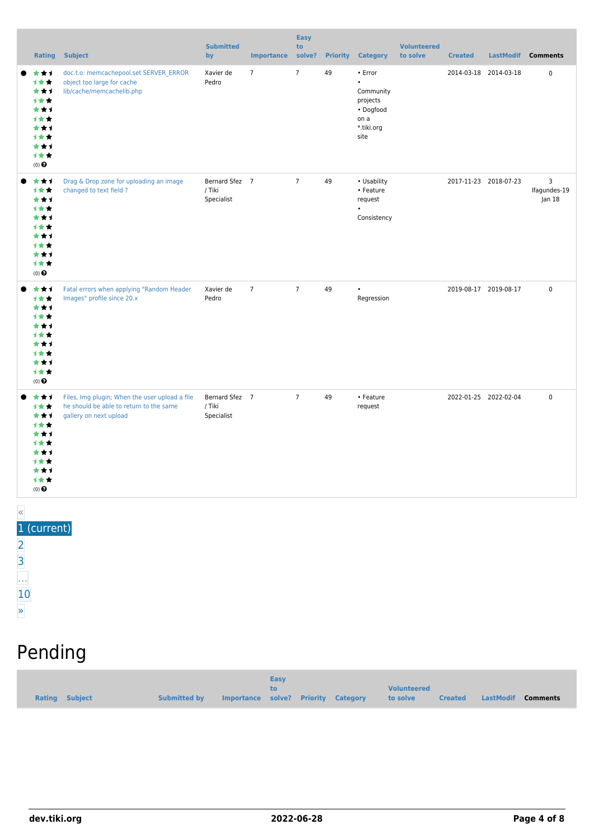|       |                                                                                                 | <b>Rating Subject</b>                                                                                               | <b>Submitted</b><br>by                 | <b>Importance</b> | <b>Easy</b><br>to<br>solve? |    | <b>Priority Category</b>                                                                 | <b>Volunteered</b><br>to solve | <b>Created</b> |                       | LastModif Comments          |
|-------|-------------------------------------------------------------------------------------------------|---------------------------------------------------------------------------------------------------------------------|----------------------------------------|-------------------|-----------------------------|----|------------------------------------------------------------------------------------------|--------------------------------|----------------|-----------------------|-----------------------------|
|       | ***<br>计女女<br>***<br>1**<br>***<br>计女女<br>***<br>1★★<br>***<br>计女女<br>$(0)$ $\odot$             | doc.t.o: memcachepool.set SERVER_ERROR<br>object too large for cache<br>lib/cache/memcachelib.php                   | Xavier de<br>Pedro                     | $\overline{7}$    | $\overline{7}$              | 49 | • Error<br>$\bullet$<br>Community<br>projects<br>• Dogfood<br>on a<br>*.tiki.org<br>site |                                |                | 2014-03-18 2014-03-18 | $\mathsf 0$                 |
|       | ***<br>1★★<br>***<br>1★★<br>***<br>1 * *<br>***<br>1★★<br>***<br>计女女<br>$(0)$<br>$\pmb{\Theta}$ | Drag & Drop zone for uploading an image<br>changed to text field ?                                                  | Bernard Sfez 7<br>/ Tiki<br>Specialist |                   | $\overline{7}$              | 49 | • Usability<br>• Feature<br>request<br>Consistency                                       |                                |                | 2017-11-23 2018-07-23 | 3<br>Ifagundes-19<br>Jan 18 |
|       | ***<br>1★★<br>***<br>1★★<br>***<br>1★★<br>***<br>1**<br>***<br>计女女<br>$(0)$ $\odot$             | Fatal errors when applying "Random Header<br>Images" profile since 20.x                                             | Xavier de<br>Pedro                     | $\overline{7}$    | $\overline{7}$              | 49 | Regression                                                                               |                                |                | 2019-08-17 2019-08-17 | $\mathsf 0$                 |
|       | ***<br>计女女<br>***<br>计女女<br>***<br>计女女<br>***<br>计女女<br>***<br>计女女<br>$(0)$ $\odot$             | Files, Img plugin; When the user upload a file<br>he should be able to return to the same<br>gallery on next upload | Bernard Sfez 7<br>/ Tiki<br>Specialist |                   | $\overline{7}$              | 49 | • Feature<br>request                                                                     |                                |                | 2022-01-25 2022-02-04 | $\mathbf 0$                 |
| $\ll$ | 1 (current)                                                                                     |                                                                                                                     |                                        |                   |                             |    |                                                                                          |                                |                |                       |                             |

| $\overline{2}$ |  |
|----------------|--|
| 3              |  |
|                |  |
| 10             |  |

# Pending

| <b>Easy</b><br>to<br>Importance solve? Priority Category<br><b>Rating Subject</b><br><b>Submitted by</b> | <b>Volunteered</b><br><b>Created LastModif</b><br>to solve<br>Comments |
|----------------------------------------------------------------------------------------------------------|------------------------------------------------------------------------|
|----------------------------------------------------------------------------------------------------------|------------------------------------------------------------------------|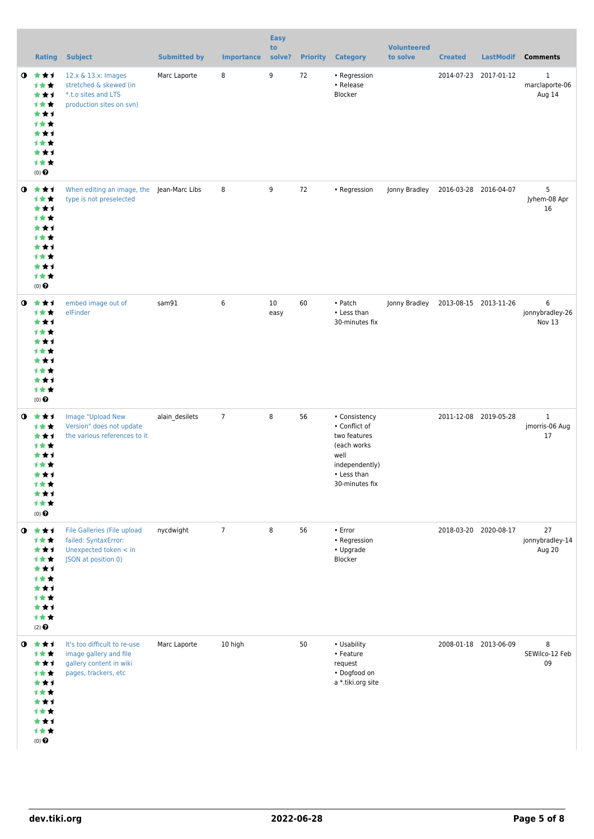|           | <b>Rating</b>                                                                                         | <b>Subject</b>                                                                                             | <b>Submitted by</b> | <b>Importance</b> | <b>Easy</b><br>to<br>solve? |    | <b>Priority Category</b>                                                                                                 | <b>Volunteered</b><br>to solve      | <b>Created</b>        | <b>LastModif</b>      | <b>Comments</b>                          |
|-----------|-------------------------------------------------------------------------------------------------------|------------------------------------------------------------------------------------------------------------|---------------------|-------------------|-----------------------------|----|--------------------------------------------------------------------------------------------------------------------------|-------------------------------------|-----------------------|-----------------------|------------------------------------------|
| ◑         | 大大士<br>计女女<br>***<br>计女女<br>***<br>计女女<br>***<br>计女女<br>***<br>计女女<br>$(0)$ $\Theta$                  | 12.x & 13.x: Images<br>stretched & skewed (in<br>*.t.o sites and LTS<br>production sites on svn)           | Marc Laporte        | 8                 | 9                           | 72 | • Regression<br>• Release<br>Blocker                                                                                     |                                     |                       | 2014-07-23 2017-01-12 | $\mathbf{1}$<br>marclaporte-06<br>Aug 14 |
| $\bullet$ | ***<br>计女女<br>***<br>计女女<br>***<br>计女女<br>***<br><b>1★★</b><br>***<br>计女女<br>(0)                      | When editing an image, the Jean-Marc Libs<br>type is not preselected                                       |                     | 8                 | 9                           | 72 | • Regression                                                                                                             | Jonny Bradley                       | 2016-03-28 2016-04-07 |                       | 5<br>Jyhem-08 Apr<br>16                  |
| $\bullet$ | 食食す<br>计女女<br>***<br>计女女<br>***<br>计女女<br>***<br><b>1★★</b><br>***<br>计女女<br>$(0)$ $\Theta$           | embed image out of<br>elFinder                                                                             | sam91               | 6                 | 10<br>easy                  | 60 | • Patch<br>• Less than<br>30-minutes fix                                                                                 | Jonny Bradley 2013-08-15 2013-11-26 |                       |                       | 6<br>jonnybradley-26<br>Nov 13           |
| $\bullet$ | ***<br>计女女<br>***<br><b>1★★</b><br>***<br>计女女<br>***<br>计女女<br>★★1<br>计女女<br>$(0)$ $\pmb{\Theta}$     | Image "Upload New<br>Version" does not update<br>the various references to it                              | alain_desilets      | $\overline{7}$    | 8                           | 56 | • Consistency<br>• Conflict of<br>two features<br>(each works<br>well<br>independently)<br>• Less than<br>30-minutes fix |                                     |                       | 2011-12-08 2019-05-28 | $\mathbf{1}$<br>jmorris-06 Aug<br>17     |
| $\bullet$ | 大女子<br>计女女<br>***<br>计女女<br>***<br>计女女<br>***<br>计女女<br>***<br>计女女<br>$(2)$ $\odot$                   | <b>File Galleries (File upload</b><br>failed: SyntaxError:<br>Unexpected token < in<br>JSON at position 0) | nycdwight           | $\overline{7}$    | 8                           | 56 | $\cdot$ Error<br>• Regression<br>• Upgrade<br>Blocker                                                                    |                                     | 2018-03-20 2020-08-17 |                       | 27<br>jonnybradley-14<br>Aug 20          |
|           | $0$ $\star\star\star$<br>计女女<br>***<br>计女女<br>***<br>计女女<br>***<br>计女女<br>***<br>计女女<br>$(0)$ $\odot$ | It's too difficult to re-use<br>image gallery and file<br>gallery content in wiki<br>pages, trackers, etc  | Marc Laporte        | 10 high           |                             | 50 | • Usability<br>• Feature<br>request<br>• Dogfood on<br>a *.tiki.org site                                                 |                                     |                       | 2008-01-18 2013-06-09 | 8<br>SEWilco-12 Feb<br>09                |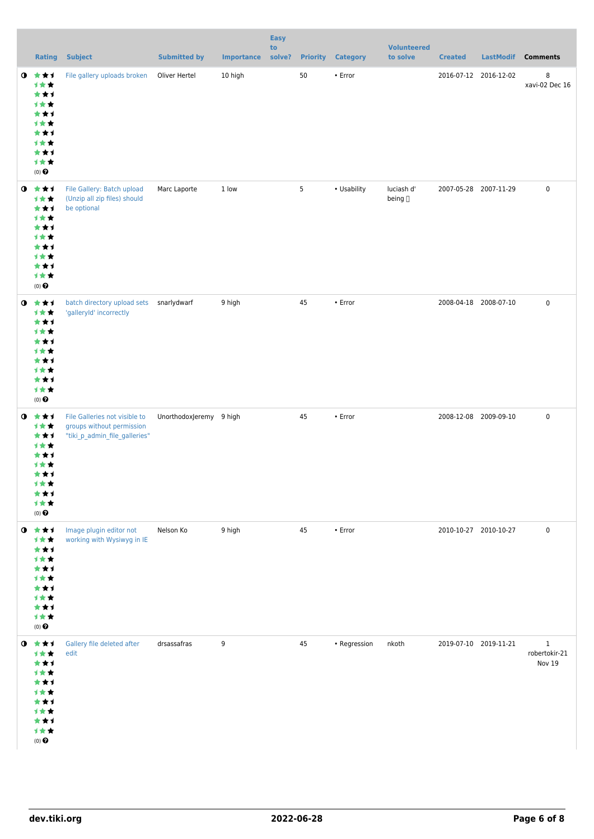|           | <b>Rating</b>                                                                                    | <b>Subject</b>                                                                              | <b>Submitted by</b>     | <b>Importance</b> | <b>Easy</b><br>to<br>solve? |                 | <b>Priority Category</b> | <b>Volunteered</b><br>to solve | <b>Created</b>        | <b>LastModif</b>      | <b>Comments</b>                         |
|-----------|--------------------------------------------------------------------------------------------------|---------------------------------------------------------------------------------------------|-------------------------|-------------------|-----------------------------|-----------------|--------------------------|--------------------------------|-----------------------|-----------------------|-----------------------------------------|
| $\bullet$ | 大大士<br>1**<br>***<br>计女女<br>***<br>计女女<br>***<br>计女女<br>***<br>计女女<br>$(0)$ $\Theta$             | File gallery uploads broken                                                                 | Oliver Hertel           | 10 high           |                             | 50              | $\cdot$ Error            |                                |                       | 2016-07-12 2016-12-02 | 8<br>xavi-02 Dec 16                     |
|           | $0$ $*$ $*$ $*$<br>计女女<br>***<br>计女女<br>***<br>计女女<br>***<br>计女女<br>***<br>计女女<br>$(0)$ $\odot$  | File Gallery: Batch upload<br>(Unzip all zip files) should<br>be optional                   | Marc Laporte            | 1 low             |                             | $5\phantom{.0}$ | • Usability              | luciash d'<br>being []         | 2007-05-28 2007-11-29 |                       | $\pmb{0}$                               |
| $\bullet$ | 大大才<br>计女女<br>***<br>计女女<br>***<br><b>1**</b><br>***<br>计女女<br>***<br>计女女<br>$(0)$ $\Theta$      | batch directory upload sets<br>'galleryId' incorrectly                                      | snarlydwarf             | 9 high            |                             | 45              | • Error                  |                                |                       | 2008-04-18 2008-07-10 | $\pmb{0}$                               |
| $\bullet$ | 大大才<br>计女女<br>***<br>计女女<br>***<br>计女女<br>***<br>计女女<br>*1<br>计女女<br>$(0)$ $\Theta$              | File Galleries not visible to<br>groups without permission<br>"tiki_p_admin_file_galleries" | UnorthodoxJeremy 9 high |                   |                             | 45              | • Error                  |                                |                       | 2008-12-08 2009-09-10 | $\pmb{0}$                               |
|           | $0$ $\star\star$<br>计女女<br>***<br>计女女<br>***<br>计女女<br>***<br>1★★<br>***<br>计女女<br>$(0)$ $\odot$ | Image plugin editor not<br>working with Wysiwyg in IE                                       | Nelson Ko               | 9 high            |                             | 45              | • Error                  |                                |                       | 2010-10-27 2010-10-27 | $\pmb{0}$                               |
| $\bullet$ | 大大才<br>计女女<br>***<br>计女女<br>***<br>***<br>***<br>1★★<br>***<br>计女女<br>$(0)$<br>$\pmb{\Theta}$    | Gallery file deleted after<br>edit                                                          | drsassafras             | 9                 |                             | 45              | • Regression             | nkoth                          |                       | 2019-07-10 2019-11-21 | $\mathbf{1}$<br>robertokir-21<br>Nov 19 |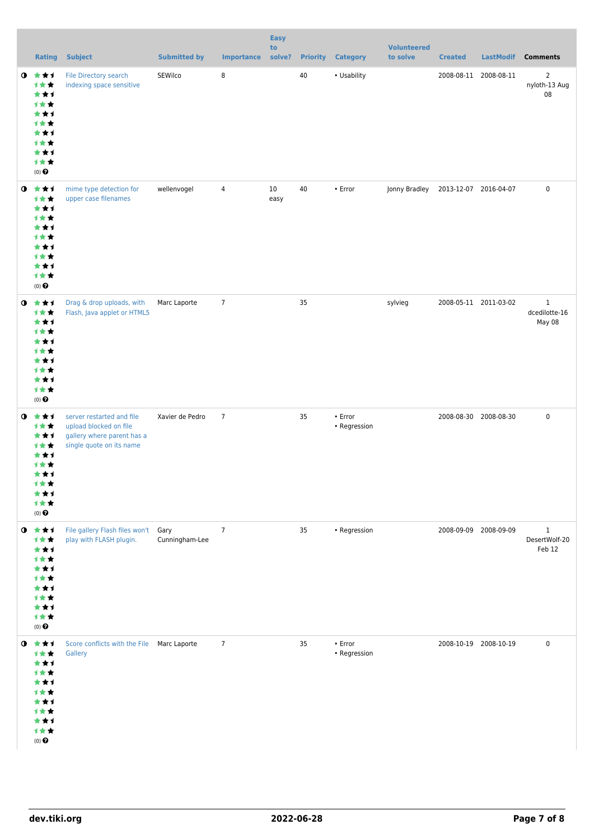|           | <b>Rating</b>                                                                                          | <b>Subject</b>                                                                                                | <b>Submitted by</b>    | <b>Importance</b> | <b>Easy</b><br>to<br>solve? | <b>Priority</b> | <b>Category</b>               | <b>Volunteered</b><br>to solve | <b>Created</b>        | <b>LastModif</b> | <b>Comments</b>                         |
|-----------|--------------------------------------------------------------------------------------------------------|---------------------------------------------------------------------------------------------------------------|------------------------|-------------------|-----------------------------|-----------------|-------------------------------|--------------------------------|-----------------------|------------------|-----------------------------------------|
| $\bullet$ | 大大士<br>计女女<br>***<br>计女女<br>***<br>计女女<br>***<br>计女女<br>***<br>计女女<br>$(0)$ $\Theta$                   | File Directory search<br>indexing space sensitive                                                             | SEWilco                | 8                 |                             | 40              | • Usability                   |                                | 2008-08-11 2008-08-11 |                  | $\overline{2}$<br>nyloth-13 Aug<br>08   |
| $\bullet$ | 大大士<br>计女女<br>***<br>计女女<br>***<br>计女女<br>***<br>计女女<br>***<br>计女女<br>$(0)$ $\Theta$                   | mime type detection for<br>upper case filenames                                                               | wellenvogel            | $\overline{4}$    | 10<br>easy                  | 40              | • Error                       | Jonny Bradley                  | 2013-12-07 2016-04-07 |                  | $\pmb{0}$                               |
| $\bullet$ | 大女子<br>计女女<br>***<br>计女女<br>***<br>计女女<br>***<br>计女女<br>***<br>计女女<br>$(0)$ $\Theta$                   | Drag & drop uploads, with<br>Flash, Java applet or HTML5                                                      | Marc Laporte           | $\overline{7}$    |                             | 35              |                               | sylvieg                        | 2008-05-11 2011-03-02 |                  | $\mathbf{1}$<br>dcedilotte-16<br>May 08 |
| $\bullet$ | ***<br>计女女<br>***<br>计女女<br>***<br>计女女<br>***<br>计女女<br>***<br>计女女<br>$(0)$ $\Theta$                   | server restarted and file<br>upload blocked on file<br>gallery where parent has a<br>single quote on its name | Xavier de Pedro        | $\overline{7}$    |                             | 35              | $\cdot$ Error<br>• Regression |                                | 2008-08-30 2008-08-30 |                  | $\mathbf 0$                             |
| $\bullet$ | 大大大<br>计女女<br>***<br>计女女<br>***<br>计女女<br>***<br>1★★<br>***<br>计女女<br>$(0)$ $\Theta$                   | File gallery Flash files won't<br>play with FLASH plugin.                                                     | Gary<br>Cunningham-Lee | $\overline{7}$    |                             | 35              | • Regression                  |                                | 2008-09-09 2008-09-09 |                  | $\mathbf{1}$<br>DesertWolf-20<br>Feb 12 |
|           | $0$ $\star\star\star$<br>计女女<br>***<br>计女女<br>***<br>计女女<br>***<br>计女女<br>***<br>计女女<br>$(0)$ $\Theta$ | Score conflicts with the File  Marc Laporte<br>Gallery                                                        |                        | $\overline{7}$    |                             | 35              | • Error<br>• Regression       |                                | 2008-10-19 2008-10-19 |                  | $\mathbf 0$                             |